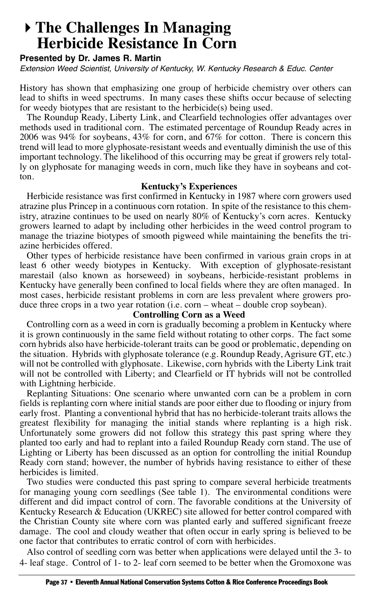## **The Challenges In Managing Herbicide Resistance In Corn**

## **Presented by Dr. James R. Martin**

Extension Weed Scientist, University of Kentucky, W. Kentucky Research & Educ. Center

History has shown that emphasizing one group of herbicide chemistry over others can lead to shifts in weed spectrums. In many cases these shifts occur because of selecting for weedy biotypes that are resistant to the herbicide(s) being used.

The Roundup Ready, Liberty Link, and Clearfield technologies offer advantages over methods used in traditional corn. The estimated percentage of Roundup Ready acres in 2006 was 94% for soybeans, 43% for corn, and 67% for cotton. There is concern this trend will lead to more glyphosate-resistant weeds and eventually diminish the use of this important technology. The likelihood of this occurring may be great if growers rely totally on glyphosate for managing weeds in corn, much like they have in soybeans and cotton.

## **Kentucky's Experiences**

Herbicide resistance was first confirmed in Kentucky in 1987 where corn growers used atrazine plus Princep in a continuous corn rotation. In spite of the resistance to this chemistry, atrazine continues to be used on nearly 80% of Kentucky's corn acres. Kentucky growers learned to adapt by including other herbicides in the weed control program to manage the triazine biotypes of smooth pigweed while maintaining the benefits the triazine herbicides offered.

Other types of herbicide resistance have been confirmed in various grain crops in at least 6 other weedy biotypes in Kentucky. With exception of glyphosate-resistant marestail (also known as horseweed) in soybeans, herbicide-resistant problems in Kentucky have generally been confined to local fields where they are often managed. In most cases, herbicide resistant problems in corn are less prevalent where growers produce three crops in a two year rotation (i.e. corn – wheat – double crop soybean).

## **Controlling Corn as a Weed**

Controlling corn as a weed in corn is gradually becoming a problem in Kentucky where it is grown continuously in the same field without rotating to other corps. The fact some corn hybrids also have herbicide-tolerant traits can be good or problematic, depending on the situation. Hybrids with glyphosate tolerance (e.g. Roundup Ready, Agrisure GT, etc.) will not be controlled with glyphosate. Likewise, corn hybrids with the Liberty Link trait will not be controlled with Liberty; and Clearfield or IT hybrids will not be controlled with Lightning herbicide.

Replanting Situations: One scenario where unwanted corn can be a problem in corn fields is replanting corn where initial stands are poor either due to flooding or injury from early frost. Planting a conventional hybrid that has no herbicide-tolerant traits allows the greatest flexibility for managing the initial stands where replanting is a high risk. Unfortunately some growers did not follow this strategy this past spring where they planted too early and had to replant into a failed Roundup Ready corn stand. The use of Lighting or Liberty has been discussed as an option for controlling the initial Roundup Ready corn stand; however, the number of hybrids having resistance to either of these herbicides is limited.

Two studies were conducted this past spring to compare several herbicide treatments for managing young corn seedlings (See table 1). The environmental conditions were different and did impact control of corn. The favorable conditions at the University of Kentucky Research  $\&$  Education (UKREC) site allowed for better control compared with the Christian County site where corn was planted early and suffered significant freeze damage. The cool and cloudy weather that often occur in early spring is believed to be one factor that contributes to erratic control of corn with herbicides.

Also control of seedling corn was better when applications were delayed until the 3- to 4- leaf stage. Control of 1- to 2- leaf corn seemed to be better when the Gromoxone was